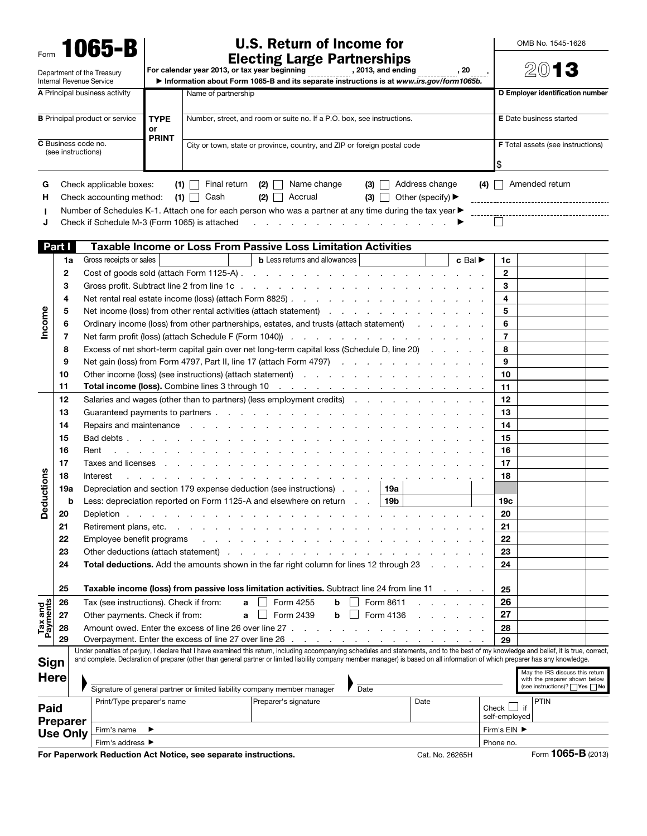| Form 1065-B                | U.S. Return of Income for                     |                 |
|----------------------------|-----------------------------------------------|-----------------|
|                            | <b>Electing Large Partnerships</b>            |                 |
| Department of the Treasury | For calendar year 2013, or tax year beginning | , 2013, and end |

OMB No. 1545-1626

 $\overline{\phantom{a}}$ 

| Form                          |          | I UUJ-D                                                |                                                                   | <b>Electing Large Partnerships</b>                                                                                                                                                                                                |                                |                                                                                                    |  |  |  |  |  |  |
|-------------------------------|----------|--------------------------------------------------------|-------------------------------------------------------------------|-----------------------------------------------------------------------------------------------------------------------------------------------------------------------------------------------------------------------------------|--------------------------------|----------------------------------------------------------------------------------------------------|--|--|--|--|--|--|
|                               |          | Department of the Treasury<br>Internal Revenue Service |                                                                   | , 2013, and ending<br>For calendar year 2013, or tax year beginning<br>Information about Form 1065-B and its separate instructions is at www.irs.gov/form1065b.                                                                   |                                |                                                                                                    |  |  |  |  |  |  |
| A Principal business activity |          |                                                        | Name of partnership                                               | D Employer identification number                                                                                                                                                                                                  |                                |                                                                                                    |  |  |  |  |  |  |
|                               |          | <b>B</b> Principal product or service                  | <b>TYPE</b><br>or<br><b>PRINT</b>                                 | Number, street, and room or suite no. If a P.O. box, see instructions.                                                                                                                                                            | <b>E</b> Date business started |                                                                                                    |  |  |  |  |  |  |
|                               |          | C Business code no.<br>(see instructions)              |                                                                   | City or town, state or province, country, and ZIP or foreign postal code                                                                                                                                                          |                                | <b>F</b> Total assets (see instructions)                                                           |  |  |  |  |  |  |
| G<br>н                        |          | $(4)$   Amended return                                 |                                                                   |                                                                                                                                                                                                                                   |                                |                                                                                                    |  |  |  |  |  |  |
| J                             |          | Check if Schedule M-3 (Form 1065) is attached          |                                                                   | and the contract of the contract of the contract of the                                                                                                                                                                           |                                |                                                                                                    |  |  |  |  |  |  |
|                               | Part I   |                                                        |                                                                   | <b>Taxable Income or Loss From Passive Loss Limitation Activities</b>                                                                                                                                                             |                                |                                                                                                    |  |  |  |  |  |  |
|                               | 1a       | Gross receipts or sales                                |                                                                   | <b>b</b> Less returns and allowances<br>$c$ Bal $\blacktriangleright$                                                                                                                                                             | 1c                             |                                                                                                    |  |  |  |  |  |  |
|                               | 2        |                                                        |                                                                   |                                                                                                                                                                                                                                   | $\mathbf{2}$                   |                                                                                                    |  |  |  |  |  |  |
|                               | 3        |                                                        |                                                                   |                                                                                                                                                                                                                                   | 3                              |                                                                                                    |  |  |  |  |  |  |
|                               | 4        |                                                        |                                                                   |                                                                                                                                                                                                                                   | 4                              |                                                                                                    |  |  |  |  |  |  |
|                               | 5        |                                                        | Net income (loss) from other rental activities (attach statement) |                                                                                                                                                                                                                                   |                                |                                                                                                    |  |  |  |  |  |  |
|                               | 6        |                                                        |                                                                   | Ordinary income (loss) from other partnerships, estates, and trusts (attach statement) and the control of the control of the control of the control of the control of the control of the control of the control of the control    | 5<br>6                         |                                                                                                    |  |  |  |  |  |  |
| Income                        | 7        |                                                        |                                                                   |                                                                                                                                                                                                                                   | $\overline{7}$                 |                                                                                                    |  |  |  |  |  |  |
|                               | 8        |                                                        |                                                                   |                                                                                                                                                                                                                                   | 8                              |                                                                                                    |  |  |  |  |  |  |
|                               | 9        |                                                        |                                                                   | Excess of net short-term capital gain over net long-term capital loss (Schedule D, line 20)                                                                                                                                       |                                |                                                                                                    |  |  |  |  |  |  |
|                               |          |                                                        |                                                                   | Net gain (loss) from Form 4797, Part II, line 17 (attach Form 4797)                                                                                                                                                               | 9                              |                                                                                                    |  |  |  |  |  |  |
|                               | 10       |                                                        |                                                                   | Other income (loss) (see instructions) (attach statement) dividend the contract of the contract of the contract of the contract of the contract of the contract of the contract of the contract of the contract of the contrac    | 10                             |                                                                                                    |  |  |  |  |  |  |
|                               | 11       |                                                        |                                                                   |                                                                                                                                                                                                                                   | 11                             |                                                                                                    |  |  |  |  |  |  |
|                               | 12       |                                                        |                                                                   | Salaries and wages (other than to partners) (less employment credits) entitled as a controller controller controller                                                                                                              | 12                             |                                                                                                    |  |  |  |  |  |  |
|                               | 13       |                                                        |                                                                   |                                                                                                                                                                                                                                   | 13                             |                                                                                                    |  |  |  |  |  |  |
|                               | 14       |                                                        |                                                                   | Repairs and maintenance resource in the contract of the contract of the contract of the contract of the contract of the contract of the contract of the contract of the contract of the contract of the contract of the contra    | 14                             |                                                                                                    |  |  |  |  |  |  |
|                               | 15       | Bad debts                                              |                                                                   |                                                                                                                                                                                                                                   | 15                             |                                                                                                    |  |  |  |  |  |  |
|                               | 16       | Rent                                                   |                                                                   |                                                                                                                                                                                                                                   | 16                             |                                                                                                    |  |  |  |  |  |  |
|                               | 17       | Taxes and licenses                                     |                                                                   |                                                                                                                                                                                                                                   | 17                             |                                                                                                    |  |  |  |  |  |  |
|                               | 18       | Interest                                               |                                                                   | $\mathbf{r}$ . The set of the set of the set of the set of the set of the set of the set of the set of the set of the set of the set of the set of the set of the set of the set of the set of the set of the set of the set of t | 18                             |                                                                                                    |  |  |  |  |  |  |
|                               | 19a      |                                                        |                                                                   | Depreciation and section 179 expense deduction (see instructions)<br>∣ 19a                                                                                                                                                        |                                |                                                                                                    |  |  |  |  |  |  |
|                               | b        |                                                        |                                                                   | Less: depreciation reported on Form 1125-A and elsewhere on return<br>19b                                                                                                                                                         | 19 <sub>c</sub>                |                                                                                                    |  |  |  |  |  |  |
| Deductions                    | 20       |                                                        |                                                                   | Depletion                                                                                                                                                                                                                         | 20                             |                                                                                                    |  |  |  |  |  |  |
|                               | 21       | Retirement plans, etc.                                 |                                                                   |                                                                                                                                                                                                                                   | 21                             |                                                                                                    |  |  |  |  |  |  |
|                               | 22       | Employee benefit programs                              |                                                                   |                                                                                                                                                                                                                                   | 22                             |                                                                                                    |  |  |  |  |  |  |
|                               | 23       | Other deductions (attach statement)                    |                                                                   | .                                                                                                                                                                                                                                 | 23                             |                                                                                                    |  |  |  |  |  |  |
|                               |          |                                                        |                                                                   | Total deductions. Add the amounts shown in the far right column for lines 12 through 23                                                                                                                                           | 24                             |                                                                                                    |  |  |  |  |  |  |
|                               | 24<br>25 |                                                        |                                                                   | Taxable income (loss) from passive loss limitation activities. Subtract line 24 from line 11                                                                                                                                      | 25                             |                                                                                                    |  |  |  |  |  |  |
|                               | 26       | Tax (see instructions). Check if from:                 |                                                                   | Form 4255<br>Form 8611<br>a<br>b                                                                                                                                                                                                  | 26                             |                                                                                                    |  |  |  |  |  |  |
|                               | 27       | Other payments. Check if from:                         |                                                                   | Form 4136<br>Form 2439<br>b<br>a                                                                                                                                                                                                  | 27                             |                                                                                                    |  |  |  |  |  |  |
| Tax and<br>Payments           | 28       |                                                        |                                                                   | Amount owed. Enter the excess of line 26 over line 27                                                                                                                                                                             | 28                             |                                                                                                    |  |  |  |  |  |  |
|                               | 29       |                                                        |                                                                   |                                                                                                                                                                                                                                   | 29                             |                                                                                                    |  |  |  |  |  |  |
|                               |          |                                                        |                                                                   | Under penalties of perjury, I declare that I have examined this return, including accompanying schedules and statements, and to the best of my knowledge and belief, it is true, correct,                                         |                                |                                                                                                    |  |  |  |  |  |  |
| Sign                          |          |                                                        |                                                                   | and complete. Declaration of preparer (other than general partner or limited liability company member manager) is based on all information of which preparer has any knowledge.                                                   |                                |                                                                                                    |  |  |  |  |  |  |
| <b>Here</b>                   |          |                                                        |                                                                   | Signature of general partner or limited liability company member manager<br>Date                                                                                                                                                  |                                | May the IRS discuss this return<br>with the preparer shown below<br>(see instructions)? □ Yes □ No |  |  |  |  |  |  |
|                               |          |                                                        |                                                                   |                                                                                                                                                                                                                                   |                                |                                                                                                    |  |  |  |  |  |  |

|                                            | Signature of general partner or limited liability company member manager | Date                               |      | $\left\lceil \cos \left( \frac{\pi}{2} \right) \right\rceil$ Yes $\left\lceil \cos \left( \frac{\pi}{2} \right) \right\rceil$ No |
|--------------------------------------------|--------------------------------------------------------------------------|------------------------------------|------|----------------------------------------------------------------------------------------------------------------------------------|
| <b>Paid</b><br><b>Preparer</b><br>Use Only | Print/Type preparer's name                                               | Preparer's signature               | Date | <b>IPTIN</b><br>if<br>Check L<br>self-emploved                                                                                   |
|                                            | Firm's name                                                              | Firm's $EIN$ $\blacktriangleright$ |      |                                                                                                                                  |
|                                            | Firm's address $\blacktriangleright$                                     |                                    |      | Phone no.                                                                                                                        |
|                                            |                                                                          |                                    |      | $\blacksquare$                                                                                                                   |

For Paperwork Reduction Act Notice, see separate instructions. Cat. No. 26265H Form 1065-B (2013)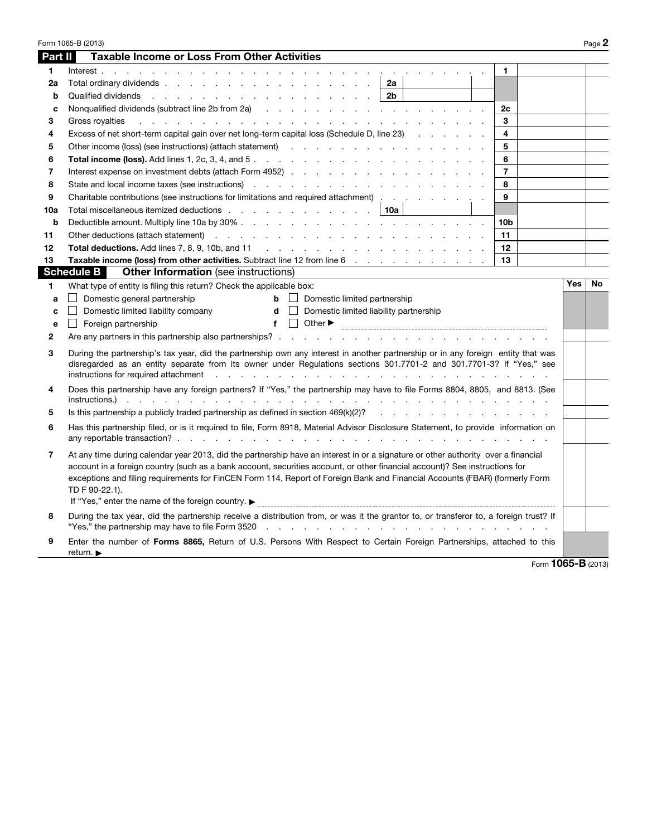| Part II      | Form 1065-B (2013)<br><b>Taxable Income or Loss From Other Activities</b>                                                                                                                                                                                                                                                                                                                                                                                               |                 |            | Page 2 |
|--------------|-------------------------------------------------------------------------------------------------------------------------------------------------------------------------------------------------------------------------------------------------------------------------------------------------------------------------------------------------------------------------------------------------------------------------------------------------------------------------|-----------------|------------|--------|
| 1            | Interest,                                                                                                                                                                                                                                                                                                                                                                                                                                                               | 1.              |            |        |
| 2a           | 2a                                                                                                                                                                                                                                                                                                                                                                                                                                                                      |                 |            |        |
| b            | 2 <sub>b</sub><br>Qualified dividends<br>the second contract of the second contract of the second contract of the second contract of the second contract of the second contract of the second contract of the second contract of the second contract of the second cont                                                                                                                                                                                                 |                 |            |        |
| C            | Nonqualified dividends (subtract line 2b from 2a) (a) and a series and a series of the series of the series of the series of the series of the series of the series of the series of the series of the series of the series of                                                                                                                                                                                                                                          | 2c              |            |        |
| 3            | Gross royalties<br>a na mana na mana na mana na mana na mana na mana na mana na mana na mana na mana na mana na mana na mana na m                                                                                                                                                                                                                                                                                                                                       | 3               |            |        |
| 4            | Excess of net short-term capital gain over net long-term capital loss (Schedule D, line 23)                                                                                                                                                                                                                                                                                                                                                                             | 4               |            |        |
| 5            | Other income (loss) (see instructions) (attach statement) and the content of the content of the content of the content of the content of the content of the content of the content of the content of the content of the conten                                                                                                                                                                                                                                          | 5               |            |        |
| 6            |                                                                                                                                                                                                                                                                                                                                                                                                                                                                         | 6               |            |        |
| 7            |                                                                                                                                                                                                                                                                                                                                                                                                                                                                         | $\overline{7}$  |            |        |
| 8            | State and local income taxes (see instructions) extending the state of the state and local income taxes (see instructions)                                                                                                                                                                                                                                                                                                                                              | 8               |            |        |
| 9            | Charitable contributions (see instructions for limitations and required attachment)                                                                                                                                                                                                                                                                                                                                                                                     | 9               |            |        |
| 10a          | Total miscellaneous itemized deductions expansion and the state of the state of the state of the state of the state of the state of the state of the state of the state of the state of the state of the state of the state of<br>10a                                                                                                                                                                                                                                   |                 |            |        |
| $\mathbf b$  |                                                                                                                                                                                                                                                                                                                                                                                                                                                                         | 10 <sub>b</sub> |            |        |
| 11           | Other deductions (attach statement) and the contract of the contract of the contract of the contract of the contract of the contract of the contract of the contract of the contract of the contract of the contract of the co                                                                                                                                                                                                                                          | 11              |            |        |
| 12           |                                                                                                                                                                                                                                                                                                                                                                                                                                                                         | 12              |            |        |
| 13           | Taxable income (loss) from other activities. Subtract line 12 from line 6                                                                                                                                                                                                                                                                                                                                                                                               | 13              |            |        |
|              | <b>Schedule B</b><br><b>Other Information</b> (see instructions)                                                                                                                                                                                                                                                                                                                                                                                                        |                 |            |        |
| 1.           | What type of entity is filing this return? Check the applicable box:                                                                                                                                                                                                                                                                                                                                                                                                    |                 | <b>Yes</b> | No     |
| a            | Domestic general partnership<br>$\mathbf{b}$ $\Box$ Domestic limited partnership                                                                                                                                                                                                                                                                                                                                                                                        |                 |            |        |
| C            | Domestic limited liability company<br>$\mathsf{d}$ $\Box$ Domestic limited liability partnership                                                                                                                                                                                                                                                                                                                                                                        |                 |            |        |
| e            | $f$ $\Box$<br>Other $\blacktriangleright$<br>Foreign partnership<br>$\blacksquare$                                                                                                                                                                                                                                                                                                                                                                                      |                 |            |        |
| $\mathbf{2}$ | Are any partners in this partnership also partnerships?                                                                                                                                                                                                                                                                                                                                                                                                                 |                 |            |        |
| 3            | During the partnership's tax year, did the partnership own any interest in another partnership or in any foreign entity that was<br>disregarded as an entity separate from its owner under Regulations sections 301.7701-2 and 301.7701-3? If "Yes," see<br>instructions for required attachment<br>design and contract the contract of the contract of the contract of the contract of the contract of the contract of                                                 |                 |            |        |
| 4            | Does this partnership have any foreign partners? If "Yes," the partnership may have to file Forms 8804, 8805, and 8813. (See<br>$instructions.)$<br>the contract of the contract of the contract of                                                                                                                                                                                                                                                                     |                 |            |        |
| 5            | Is this partnership a publicly traded partnership as defined in section $469(k)(2)$ ?                                                                                                                                                                                                                                                                                                                                                                                   |                 |            |        |
| 6            | Has this partnership filed, or is it required to file, Form 8918, Material Advisor Disclosure Statement, to provide information on                                                                                                                                                                                                                                                                                                                                      |                 |            |        |
| 7            | At any time during calendar year 2013, did the partnership have an interest in or a signature or other authority over a financial<br>account in a foreign country (such as a bank account, securities account, or other financial account)? See instructions for<br>exceptions and filing requirements for FinCEN Form 114, Report of Foreign Bank and Financial Accounts (FBAR) (formerly Form<br>TD F 90-22.1).<br>If "Yes," enter the name of the foreign country. ► |                 |            |        |
| 8            | During the tax year, did the partnership receive a distribution from, or was it the grantor to, or transferor to, a foreign trust? If                                                                                                                                                                                                                                                                                                                                   |                 |            |        |
| 9            | Enter the number of Forms 8865, Return of U.S. Persons With Respect to Certain Foreign Partnerships, attached to this<br>return. $\blacktriangleright$                                                                                                                                                                                                                                                                                                                  |                 |            |        |

Form 1065-B (2013)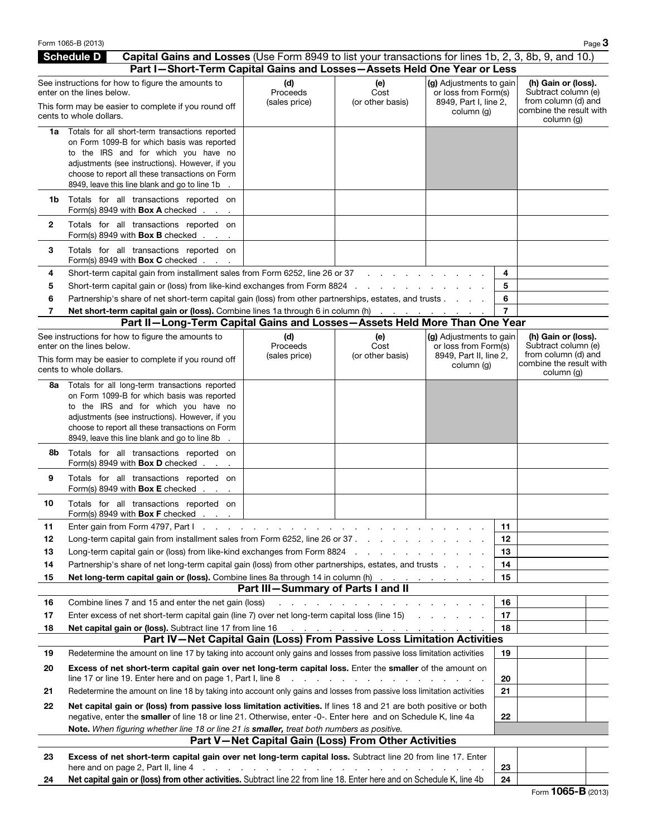|     | Form 1065-B (2013)                                                                                                                                                        |                                                      |                                                          |                                                                                        |                | Page 3                                                                                       |
|-----|---------------------------------------------------------------------------------------------------------------------------------------------------------------------------|------------------------------------------------------|----------------------------------------------------------|----------------------------------------------------------------------------------------|----------------|----------------------------------------------------------------------------------------------|
|     | <b>Schedule D</b><br>Capital Gains and Losses (Use Form 8949 to list your transactions for lines 1b, 2, 3, 8b, 9, and 10.)                                                |                                                      |                                                          |                                                                                        |                |                                                                                              |
|     | Part I-Short-Term Capital Gains and Losses-Assets Held One Year or Less                                                                                                   |                                                      |                                                          |                                                                                        |                |                                                                                              |
|     | See instructions for how to figure the amounts to<br>enter on the lines below.<br>This form may be easier to complete if you round off                                    | (d)<br>Proceeds<br>(sales price)                     | (e)<br>Cost<br>(or other basis)                          | (g) Adjustments to gain<br>or loss from Form(s)<br>8949, Part I, line 2,<br>column (g) |                | (h) Gain or (loss).<br>Subtract column (e)<br>from column (d) and<br>combine the result with |
|     | cents to whole dollars.                                                                                                                                                   |                                                      |                                                          |                                                                                        |                | column (g)                                                                                   |
|     | 1a Totals for all short-term transactions reported<br>on Form 1099-B for which basis was reported                                                                         |                                                      |                                                          |                                                                                        |                |                                                                                              |
|     | to the IRS and for which you have no                                                                                                                                      |                                                      |                                                          |                                                                                        |                |                                                                                              |
|     | adjustments (see instructions). However, if you                                                                                                                           |                                                      |                                                          |                                                                                        |                |                                                                                              |
|     | choose to report all these transactions on Form                                                                                                                           |                                                      |                                                          |                                                                                        |                |                                                                                              |
|     | 8949, leave this line blank and go to line 1b                                                                                                                             |                                                      |                                                          |                                                                                        |                |                                                                                              |
| 1b. | Totals for all transactions reported on<br>Form(s) 8949 with <b>Box A</b> checked                                                                                         |                                                      |                                                          |                                                                                        |                |                                                                                              |
| 2   | Totals for all transactions reported on<br>Form(s) 8949 with <b>Box B</b> checked                                                                                         |                                                      |                                                          |                                                                                        |                |                                                                                              |
| 3   | Totals for all transactions reported on<br>Form(s) 8949 with <b>Box C</b> checked $\ldots$                                                                                |                                                      |                                                          |                                                                                        |                |                                                                                              |
| 4   | Short-term capital gain from installment sales from Form 6252, line 26 or 37                                                                                              |                                                      |                                                          |                                                                                        | 4              |                                                                                              |
| 5   | Short-term capital gain or (loss) from like-kind exchanges from Form 8824 .                                                                                               |                                                      |                                                          |                                                                                        | 5              |                                                                                              |
| 6   | Partnership's share of net short-term capital gain (loss) from other partnerships, estates, and trusts                                                                    |                                                      |                                                          |                                                                                        | 6              |                                                                                              |
| 7   | Net short-term capital gain or (loss). Combine lines 1a through 6 in column (h)                                                                                           |                                                      |                                                          | the contract of the contract of the                                                    | $\overline{7}$ |                                                                                              |
|     | Part II-Long-Term Capital Gains and Losses-Assets Held More Than One Year                                                                                                 |                                                      |                                                          |                                                                                        |                |                                                                                              |
|     | See instructions for how to figure the amounts to<br>enter on the lines below.                                                                                            | (d)<br>Proceeds                                      | (e)<br>Cost                                              | (g) Adjustments to gain<br>or loss from Form(s)                                        |                | (h) Gain or (loss).<br>Subtract column (e)                                                   |
|     | This form may be easier to complete if you round off<br>cents to whole dollars.                                                                                           | (sales price)                                        | (or other basis)                                         | 8949, Part II, line 2,<br>column (g)                                                   |                | from column (d) and<br>combine the result with                                               |
| 8a  | Totals for all long-term transactions reported                                                                                                                            |                                                      |                                                          |                                                                                        |                | column (g)                                                                                   |
|     | on Form 1099-B for which basis was reported                                                                                                                               |                                                      |                                                          |                                                                                        |                |                                                                                              |
|     | to the IRS and for which you have no                                                                                                                                      |                                                      |                                                          |                                                                                        |                |                                                                                              |
|     | adjustments (see instructions). However, if you<br>choose to report all these transactions on Form                                                                        |                                                      |                                                          |                                                                                        |                |                                                                                              |
|     | 8949, leave this line blank and go to line 8b                                                                                                                             |                                                      |                                                          |                                                                                        |                |                                                                                              |
| 8b  | Totals for all transactions reported on<br>Form(s) 8949 with <b>Box D</b> checked                                                                                         |                                                      |                                                          |                                                                                        |                |                                                                                              |
| 9   | Totals for all transactions reported on<br>Form(s) 8949 with <b>Box E</b> checked .                                                                                       |                                                      |                                                          |                                                                                        |                |                                                                                              |
| 10  | Totals for all transactions reported on<br>Form(s) 8949 with <b>Box F</b> checked                                                                                         |                                                      |                                                          |                                                                                        |                |                                                                                              |
| 11  | Enter gain from Form 4797, Part 1 and 2 and 2 and 2 and 2 and 2 and 2 and 2 and 2 and 2 and 2 and 2 and 2 and 2                                                           |                                                      |                                                          |                                                                                        | 11             |                                                                                              |
| 12  | Long-term capital gain from installment sales from Form 6252, line 26 or 37                                                                                               |                                                      |                                                          |                                                                                        | 12             |                                                                                              |
| 13  | Long-term capital gain or (loss) from like-kind exchanges from Form 8824                                                                                                  |                                                      |                                                          |                                                                                        | 13             |                                                                                              |
| 14  | Partnership's share of net long-term capital gain (loss) from other partnerships, estates, and trusts                                                                     |                                                      |                                                          |                                                                                        | 14             |                                                                                              |
| 15  | <b>Net long-term capital gain or (loss).</b> Combine lines 8a through 14 in column (h)                                                                                    |                                                      |                                                          |                                                                                        | 15             |                                                                                              |
|     |                                                                                                                                                                           | Part III-Summary of Parts I and II                   |                                                          |                                                                                        |                |                                                                                              |
| 16  | Combine lines 7 and 15 and enter the net gain (loss)                                                                                                                      |                                                      |                                                          |                                                                                        | 16             |                                                                                              |
| 17  | Enter excess of net short-term capital gain (line 7) over net long-term capital loss (line 15)<br>Net capital gain or (loss). Subtract line 17 from line 16               |                                                      |                                                          |                                                                                        | 17<br>18       |                                                                                              |
| 18  | Part IV-Net Capital Gain (Loss) From Passive Loss Limitation Activities                                                                                                   |                                                      | the contract of the contract of the contract of the con- |                                                                                        |                |                                                                                              |
| 19  | Redetermine the amount on line 17 by taking into account only gains and losses from passive loss limitation activities                                                    |                                                      |                                                          |                                                                                        | 19             |                                                                                              |
| 20  | Excess of net short-term capital gain over net long-term capital loss. Enter the smaller of the amount on<br>line 17 or line 19. Enter here and on page 1, Part I, line 8 |                                                      |                                                          |                                                                                        | 20             |                                                                                              |
| 21  | Redetermine the amount on line 18 by taking into account only gains and losses from passive loss limitation activities                                                    |                                                      |                                                          |                                                                                        | 21             |                                                                                              |
| 22  | Net capital gain or (loss) from passive loss limitation activities. If lines 18 and 21 are both positive or both                                                          |                                                      |                                                          |                                                                                        |                |                                                                                              |
|     | negative, enter the smaller of line 18 or line 21. Otherwise, enter -0-. Enter here and on Schedule K, line 4a                                                            |                                                      |                                                          |                                                                                        | 22             |                                                                                              |
|     | Note. When figuring whether line 18 or line 21 is smaller, treat both numbers as positive.                                                                                | Part V-Net Capital Gain (Loss) From Other Activities |                                                          |                                                                                        |                |                                                                                              |
| 23  | Excess of net short-term capital gain over net long-term capital loss. Subtract line 20 from line 17. Enter                                                               |                                                      |                                                          |                                                                                        |                |                                                                                              |
|     | here and on page 2, Part II, line 4                                                                                                                                       | the contract of the contract of the con-             |                                                          |                                                                                        | 23             |                                                                                              |
| 24  | Net capital gain or (loss) from other activities. Subtract line 22 from line 18. Enter here and on Schedule K, line 4b                                                    |                                                      |                                                          |                                                                                        | 24             |                                                                                              |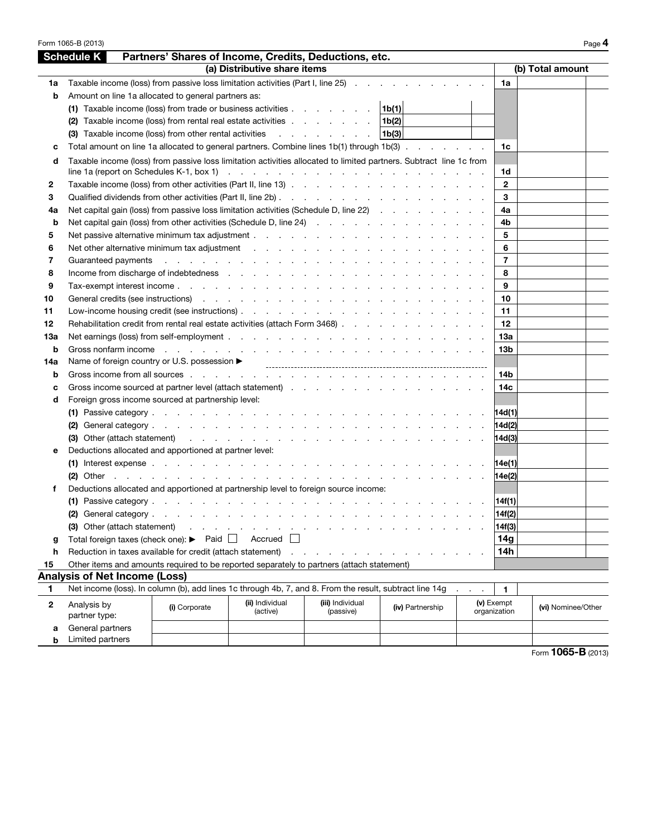|     | Form 1065-B (2013)                                                                                                                                                                                                             |                   |                              |                                                                                                                                                                                                                                |                  |  |                 |                    | Page 4 |
|-----|--------------------------------------------------------------------------------------------------------------------------------------------------------------------------------------------------------------------------------|-------------------|------------------------------|--------------------------------------------------------------------------------------------------------------------------------------------------------------------------------------------------------------------------------|------------------|--|-----------------|--------------------|--------|
|     | <b>Schedule K</b>                                                                                                                                                                                                              |                   |                              | Partners' Shares of Income, Credits, Deductions, etc.                                                                                                                                                                          |                  |  |                 |                    |        |
|     |                                                                                                                                                                                                                                |                   | (a) Distributive share items |                                                                                                                                                                                                                                |                  |  |                 | (b) Total amount   |        |
| 1a  | Taxable income (loss) from passive loss limitation activities (Part I, line 25)                                                                                                                                                |                   |                              |                                                                                                                                                                                                                                |                  |  | 1a              |                    |        |
| b   | Amount on line 1a allocated to general partners as:                                                                                                                                                                            |                   |                              |                                                                                                                                                                                                                                |                  |  |                 |                    |        |
|     | (1) Taxable income (loss) from trade or business activities                                                                                                                                                                    |                   |                              |                                                                                                                                                                                                                                | 1b(1)            |  |                 |                    |        |
|     | (2) Taxable income (loss) from rental real estate activities                                                                                                                                                                   |                   |                              |                                                                                                                                                                                                                                | 1b(2)            |  |                 |                    |        |
|     | (3) Taxable income (loss) from other rental activities                                                                                                                                                                         |                   |                              |                                                                                                                                                                                                                                | 1b(3)            |  |                 |                    |        |
| c   | Total amount on line 1a allocated to general partners. Combine lines 1b(1) through 1b(3)                                                                                                                                       |                   |                              |                                                                                                                                                                                                                                |                  |  | 1c              |                    |        |
| d   | Taxable income (loss) from passive loss limitation activities allocated to limited partners. Subtract line 1c from                                                                                                             |                   |                              |                                                                                                                                                                                                                                |                  |  |                 |                    |        |
|     | line 1a (report on Schedules K-1, box 1) (a) and the contract of the contract of the contract of the contract of the contract of the contract of the contract of the contract of the contract of the contract of the contract  |                   |                              |                                                                                                                                                                                                                                |                  |  | 1d              |                    |        |
| 2   |                                                                                                                                                                                                                                |                   |                              |                                                                                                                                                                                                                                |                  |  | $\mathbf{2}$    |                    |        |
| 3   |                                                                                                                                                                                                                                |                   |                              |                                                                                                                                                                                                                                |                  |  | 3               |                    |        |
| 4a  | Net capital gain (loss) from passive loss limitation activities (Schedule D, line 22)                                                                                                                                          |                   |                              |                                                                                                                                                                                                                                |                  |  | 4a              |                    |        |
| b   |                                                                                                                                                                                                                                |                   |                              |                                                                                                                                                                                                                                |                  |  | 4b              |                    |        |
| 5   |                                                                                                                                                                                                                                |                   |                              |                                                                                                                                                                                                                                |                  |  | 5               |                    |        |
| 6   | Net other alternative minimum tax adjustment enters and a series of the series of the series of the series of t                                                                                                                |                   |                              |                                                                                                                                                                                                                                |                  |  | 6               |                    |        |
| 7   | Guaranteed payments                                                                                                                                                                                                            |                   |                              | and the property of the property of the property of the property of the property of the property of the property of the property of the property of the property of the property of the property of the property of the proper |                  |  | $\overline{7}$  |                    |        |
| 8   | Income from discharge of indebtedness response to the contract of the contract of the contract of the contract of the contract of the contract of the contract of the contract of the contract of the contract of the contract |                   |                              |                                                                                                                                                                                                                                |                  |  | 8               |                    |        |
| 9   |                                                                                                                                                                                                                                |                   |                              |                                                                                                                                                                                                                                |                  |  | 9               |                    |        |
| 10  | General credits (see instructions) enterstanding to the contract of the contract of the contract of the contract of the contract of the contract of the contract of the contract of the contract of the contract of the contra |                   |                              |                                                                                                                                                                                                                                |                  |  | 10              |                    |        |
| 11  |                                                                                                                                                                                                                                |                   |                              |                                                                                                                                                                                                                                |                  |  | 11              |                    |        |
| 12  | Rehabilitation credit from rental real estate activities (attach Form 3468)                                                                                                                                                    |                   |                              |                                                                                                                                                                                                                                |                  |  | 12              |                    |        |
| 13а |                                                                                                                                                                                                                                |                   |                              |                                                                                                                                                                                                                                |                  |  | 13а             |                    |        |
| b   | Gross nonfarm income et al., and a series are all the series and series are all the series of the series of the series of the series of the series of the series of the series of the series of the series of the series of th |                   |                              |                                                                                                                                                                                                                                |                  |  | 13 <sub>b</sub> |                    |        |
| 14a |                                                                                                                                                                                                                                |                   |                              |                                                                                                                                                                                                                                |                  |  |                 |                    |        |
| b   |                                                                                                                                                                                                                                |                   |                              |                                                                                                                                                                                                                                |                  |  | 14b             |                    |        |
|     | Gross income sourced at partner level (attach statement) dividend the contract of the contract of the contract of the contract of the contract of the contract of the contract of the contract of the contract of the contract |                   |                              |                                                                                                                                                                                                                                |                  |  | 14c             |                    |        |
| c   |                                                                                                                                                                                                                                |                   |                              |                                                                                                                                                                                                                                |                  |  |                 |                    |        |
| d   | Foreign gross income sourced at partnership level:                                                                                                                                                                             |                   |                              |                                                                                                                                                                                                                                |                  |  |                 |                    |        |
|     |                                                                                                                                                                                                                                |                   |                              |                                                                                                                                                                                                                                |                  |  | 14d(1)          |                    |        |
|     |                                                                                                                                                                                                                                |                   |                              |                                                                                                                                                                                                                                |                  |  | 14d(2)          |                    |        |
|     |                                                                                                                                                                                                                                |                   |                              |                                                                                                                                                                                                                                |                  |  | 14d(3)          |                    |        |
| е   | Deductions allocated and apportioned at partner level:                                                                                                                                                                         |                   |                              |                                                                                                                                                                                                                                |                  |  |                 |                    |        |
|     | (1) Interest expense $\ldots$ $\ldots$ $\ldots$ $\ldots$ $\ldots$ $\ldots$ $\ldots$ $\ldots$ $\ldots$ $\ldots$ $\ldots$                                                                                                        |                   |                              |                                                                                                                                                                                                                                |                  |  | 14e(1)          |                    |        |
|     |                                                                                                                                                                                                                                |                   |                              |                                                                                                                                                                                                                                |                  |  | 14e(2)          |                    |        |
| f   | Deductions allocated and apportioned at partnership level to foreign source income:                                                                                                                                            |                   |                              |                                                                                                                                                                                                                                |                  |  |                 |                    |        |
|     |                                                                                                                                                                                                                                |                   |                              |                                                                                                                                                                                                                                |                  |  | 14f(1)          |                    |        |
|     | (2) General category.                                                                                                                                                                                                          | $\sim 10^{-1}$ km |                              |                                                                                                                                                                                                                                |                  |  | 14f(2)          |                    |        |
|     | (3) Other (attach statement)                                                                                                                                                                                                   |                   |                              |                                                                                                                                                                                                                                |                  |  | 14f(3)          |                    |        |
| g   | Total foreign taxes (check one): ▶                                                                                                                                                                                             | Paid              | Accrued                      |                                                                                                                                                                                                                                |                  |  | 14g             |                    |        |
| h   | Reduction in taxes available for credit (attach statement)                                                                                                                                                                     |                   |                              |                                                                                                                                                                                                                                |                  |  | 14h             |                    |        |
| 15  | Other items and amounts required to be reported separately to partners (attach statement)                                                                                                                                      |                   |                              |                                                                                                                                                                                                                                |                  |  |                 |                    |        |
|     | <b>Analysis of Net Income (Loss)</b>                                                                                                                                                                                           |                   |                              |                                                                                                                                                                                                                                |                  |  |                 |                    |        |
| 1   | Net income (loss). In column (b), add lines 1c through 4b, 7, and 8. From the result, subtract line 14g                                                                                                                        |                   |                              |                                                                                                                                                                                                                                |                  |  | 1.              |                    |        |
| 2   | Analysis by                                                                                                                                                                                                                    | (i) Corporate     | (ii) Individual              | (iii) Individual                                                                                                                                                                                                               | (iv) Partnership |  | (v) Exempt      | (vi) Nominee/Other |        |
|     | partner type:                                                                                                                                                                                                                  |                   | (active)                     | (passive)                                                                                                                                                                                                                      |                  |  | organization    |                    |        |
| а   | General partners                                                                                                                                                                                                               |                   |                              |                                                                                                                                                                                                                                |                  |  |                 |                    |        |
| b   | Limited partners                                                                                                                                                                                                               |                   |                              |                                                                                                                                                                                                                                |                  |  |                 |                    |        |

 $F$ orm **1065-B** (2013)